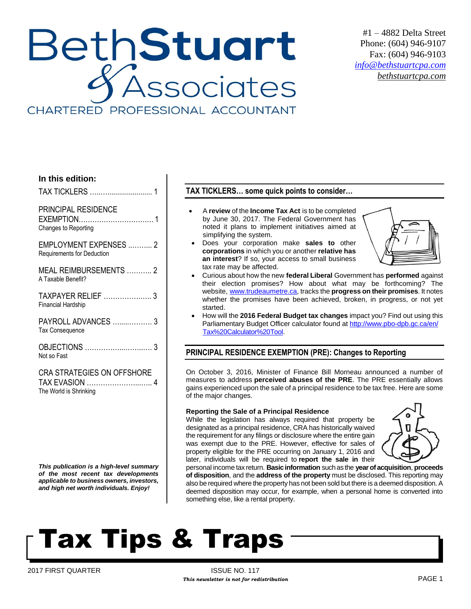# BethStuart Associates CHARTERED PROFESSIONAL ACCOUNTANT

#1 – 4882 Delta Street Phone: (604) 946-9107 Fax: (604) 946-9103 *[info@bethstuartcpa.com](mailto:info@bethstuartcpa.com) bethstuartcpa.com*

#### **In this edition:**

TAX TICKLERS …..…....................... 1

## PRINCIPAL RESIDENCE

EXEMPTION……………………………1 Changes to Reporting

EMPLOYMENT EXPENSES ..……... 2 Requirements for Deduction

MEAL REIMBURSEMENTS ……….. 2 A Taxable Benefit?

TAXPAYER RELIEF …………….….. 3 Financial Hardship

PAYROLL ADVANCES ….....………. 3 Tax Consequence

OBJECTIONS ……………...……..…. 3 Not so Fast

CRA STRATEGIES ON OFFSHORE TAX EVASION …………………...….. 4 The World is Shrinking

*This publication is a high-level summary of the most recent tax developments applicable to business owners, investors, and high net worth individuals. Enjoy!*

### **TAX TICKLERS… some quick points to consider…**

- A **review** of the **Income Tax Act** is to be completed by June 30, 2017. The Federal Government has noted it plans to implement initiatives aimed at simplifying the system.
- Does your corporation make **sales to** other **corporations** in which you or another **relative has an interest**? If so, your access to small business tax rate may be affected.



- Curious about how the new **federal Liberal** Government has **performed** against their election promises? How about what may be forthcoming? The website, [www.trudeaumetre.ca,](http://www.trudeaumetre.ca/) tracks the **progress on their promises**. It notes whether the promises have been achieved, broken, in progress, or not yet started.
- How will the **2016 Federal Budget tax changes** impact you? Find out using this Parliamentary Budget Officer calculator found at [http://www.pbo-dpb.gc.ca/en/](http://www.pbo-dpb.gc.ca/en/Tax%20Calculator%20Tool) [Tax%20Calculator%20Tool.](http://www.pbo-dpb.gc.ca/en/Tax%20Calculator%20Tool)

### **PRINCIPAL RESIDENCE EXEMPTION (PRE): Changes to Reporting**

On October 3, 2016, Minister of Finance Bill Morneau announced a number of measures to address **perceived abuses of the PRE**. The PRE essentially allows gains experienced upon the sale of a principal residence to be tax free. Here are some of the major changes.

#### **Reporting the Sale of a Principal Residence**

While the legislation has always required that property be designated as a principal residence, CRA has historically waived the requirement for any filings or disclosure where the entire gain was exempt due to the PRE. However, effective for sales of property eligible for the PRE occurring on January 1, 2016 and later, individuals will be required to **report the sale in** their



personal income tax return. **Basic information** such as the **year of acquisition**, **proceeds of disposition**, and the **address of the property** must be disclosed. This reporting may also be required where the property has not been sold but there is a deemed disposition. A deemed disposition may occur, for example, when a personal home is converted into something else, like a rental property.

# Tax Tips & Traps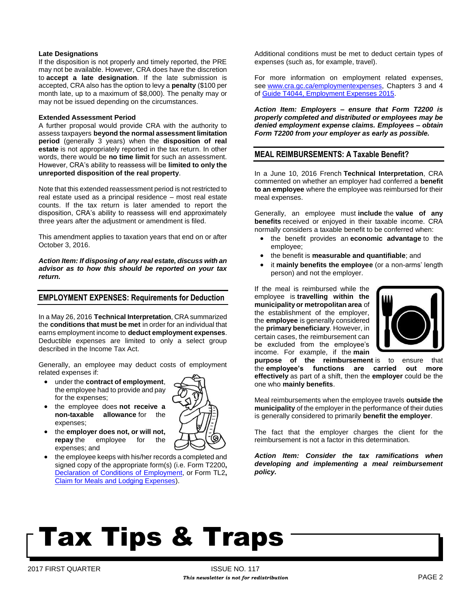#### **Late Designations**

If the disposition is not properly and timely reported, the PRE may not be available. However, CRA does have the discretion to **accept a late designation**. If the late submission is accepted, CRA also has the option to levy a **penalty** (\$100 per month late, up to a maximum of \$8,000). The penalty may or may not be issued depending on the circumstances.

#### **Extended Assessment Period**

A further proposal would provide CRA with the authority to assess taxpayers **beyond the normal assessment limitation period** (generally 3 years) when the **disposition of real estate** is not appropriately reported in the tax return. In other words, there would be **no time limit** for such an assessment. However, CRA's ability to reassess will be **limited to only the unreported disposition of the real property**.

Note that this extended reassessment period is not restricted to real estate used as a principal residence – most real estate counts. If the tax return is later amended to report the disposition, CRA's ability to reassess will end approximately three years after the adjustment or amendment is filed.

This amendment applies to taxation years that end on or after October 3, 2016.

*Action Item: If disposing of any real estate, discuss with an advisor as to how this should be reported on your tax return.*

#### **EMPLOYMENT EXPENSES: Requirements for Deduction**

In a May 26, 2016 **Technical Interpretation**, CRA summarized the **conditions that must be met** in order for an individual that earns employment income to **deduct employment expenses**. Deductible expenses are limited to only a select group described in the Income Tax Act.

Generally, an employee may deduct costs of employment related expenses if:

- under the **contract of employment**, the employee had to provide and pay for the expenses;
- the employee does **not receive a non-taxable allowance** for the expenses;
- the **employer does not, or will not, repay** the employee for the expenses; and
- the employee keeps with his/her records a completed and signed copy of the appropriate form(s) (i.e. Form T2200**,** [Declaration of Conditions of Employment,](http://www.cra-arc.gc.ca/E/pbg/tf/t2200/README.html) or Form TL2**,**  [Claim for Meals and Lodging Expenses\)](http://www.cra-arc.gc.ca/E/pbg/tf/tl2/README.html).

Additional conditions must be met to deduct certain types of expenses (such as, for example, travel).

For more information on employment related expenses, see [www.cra.gc.ca/employmentexpenses,](http://www.cra.gc.ca/employmentexpenses) Chapters 3 and 4 of [Guide T4044, Employment Expenses 2015.](http://www.cra-arc.gc.ca/E/pub/tg/t4044/README.html)

*Action Item: Employers – ensure that Form T2200 is properly completed and distributed or employees may be denied employment expense claims. Employees – obtain Form T2200 from your employer as early as possible.* 

#### **MEAL REIMBURSEMENTS: A Taxable Benefit?**

In a June 10, 2016 French **Technical Interpretation**, CRA commented on whether an employer had conferred a **benefit to an employee** where the employee was reimbursed for their meal expenses.

Generally, an employee must **include** the **value of any benefits** received or enjoyed in their taxable income. CRA normally considers a taxable benefit to be conferred when:

- the benefit provides an **economic advantage** to the employee;
- the benefit is **measurable and quantifiable**; and
- it **mainly benefits the employee** (or a non-arms' length person) and not the employer.

If the meal is reimbursed while the employee is **travelling within the municipality or metropolitan area** of the establishment of the employer, the **employee** is generally considered the **primary beneficiary**. However, in certain cases, the reimbursement can be excluded from the employee's income. For example, if the **main** 



**purpose of the reimbursement** is to ensure that the **employee's functions are carried out more effectively** as part of a shift, then the **employer** could be the one who **mainly benefits**.

Meal reimbursements when the employee travels **outside the municipality** of the employer in the performance of their duties is generally considered to primarily **benefit the employer**.

The fact that the employer charges the client for the reimbursement is not a factor in this determination.

*Action Item: Consider the tax ramifications when developing and implementing a meal reimbursement policy.*

# Tax Tips & Traps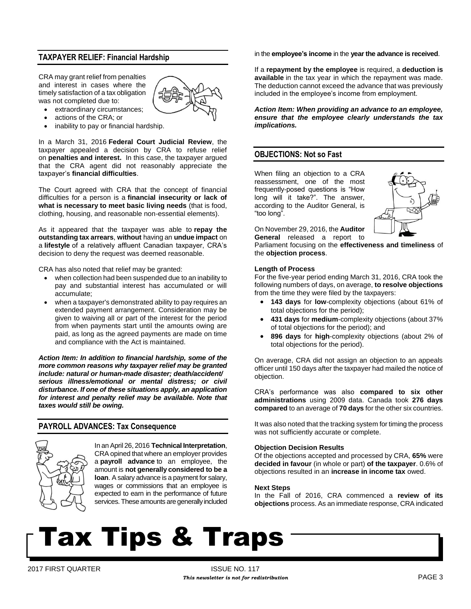### **TAXPAYER RELIEF: Financial Hardship**

CRA may grant relief from penalties and interest in cases where the timely satisfaction of a tax obligation was not completed due to:



- extraordinary circumstances;
- actions of the CRA; or
- inability to pay or financial hardship.

In a March 31, 2016 **Federal Court Judicial Review**, the taxpayer appealed a decision by CRA to refuse relief on **penalties and interest.** In this case, the taxpayer argued that the CRA agent did not reasonably appreciate the taxpayer's **financial difficulties**.

The Court agreed with CRA that the concept of financial difficulties for a person is a **financial insecurity or lack of what is necessary to meet basic living needs** (that is food, clothing, housing, and reasonable non-essential elements).

As it appeared that the taxpayer was able to **repay the outstanding tax arrears**, **without** having an **undue impact** on a **lifestyle** of a relatively affluent Canadian taxpayer, CRA's decision to deny the request was deemed reasonable.

CRA has also noted that relief may be granted:

- when collection had been suspended due to an inability to pay and substantial interest has accumulated or will accumulate;
- when a taxpayer's demonstrated ability to pay requires an extended payment arrangement. Consideration may be given to waiving all or part of the interest for the period from when payments start until the amounts owing are paid, as long as the agreed payments are made on time and compliance with the Act is maintained.

*Action Item: In addition to financial hardship, some of the more common reasons why taxpayer relief may be granted include: natural or human-made disaster; death/accident/ serious illness/emotional or mental distress; or civil disturbance. If one of these situations apply, an application for interest and penalty relief may be available. Note that taxes would still be owing.* 

#### **PAYROLL ADVANCES: Tax Consequence**



In an April 26, 2016 **Technical Interpretation**, CRA opined that where an employer provides a **payroll advance** to an employee, the amount is **not generally considered to be a loan**. A salary advance is a payment for salary, wages or commissions that an employee is expected to earn in the performance of future services. These amounts are generally included in the **employee's income** in the **year the advance is received**.

If a **repayment by the employee** is required, a **deduction is available** in the tax year in which the repayment was made. The deduction cannot exceed the advance that was previously included in the employee's income from employment.

*Action Item: When providing an advance to an employee, ensure that the employee clearly understands the tax implications.*

#### **OBJECTIONS: Not so Fast**

When filing an objection to a CRA reassessment, one of the most frequently-posed questions is "How long will it take?". The answer, according to the Auditor General, is "too long".



On November 29, 2016, the **Auditor General** released a report to

Parliament focusing on the **effectiveness and timeliness** of the **objection process**.

#### **Length of Process**

For the five-year period ending March 31, 2016, CRA took the following numbers of days, on average, **to resolve objections** from the time they were filed by the taxpayers:

- **143 days** for **low**-complexity objections (about 61% of total objections for the period);
- **431 days** for **medium**-complexity objections (about 37% of total objections for the period); and
- **896 days** for **high**-complexity objections (about 2% of total objections for the period).

On average, CRA did not assign an objection to an appeals officer until 150 days after the taxpayer had mailed the notice of objection.

CRA's performance was also **compared to six other administrations** using 2009 data. Canada took **276 days compared** to an average of **70 days** for the other six countries.

It was also noted that the tracking system for timing the process was not sufficiently accurate or complete.

#### **Objection Decision Results**

Of the objections accepted and processed by CRA, **65%** were **decided in favour** (in whole or part) **of the taxpayer**. 0.6% of objections resulted in an **increase in income tax** owed.

#### **Next Steps**

In the Fall of 2016, CRA commenced a **review of its objections** process. As an immediate response, CRA indicated